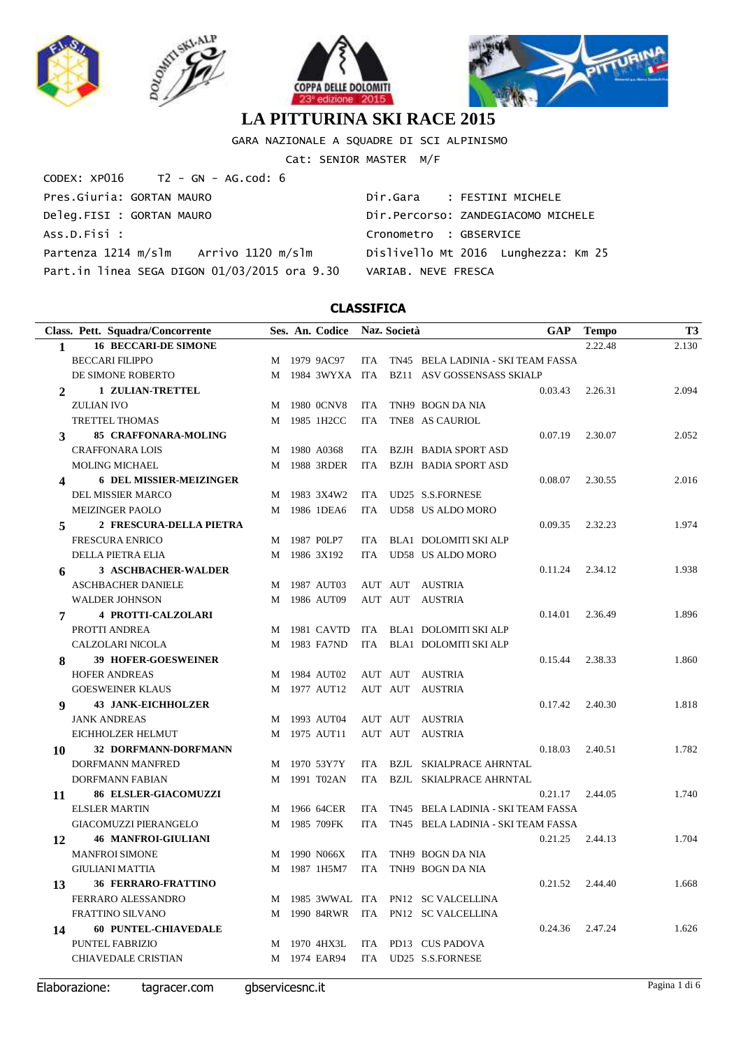







GARA NAZIONALE A SQUADRE DI SCI ALPINISMO

Cat: SENIOR MASTER M/F

| $CODEX: XP016$ T2 - GN - AG.cod: 6           |                                     |
|----------------------------------------------|-------------------------------------|
| Pres.Giuria: GORTAN MAURO                    | Dir.Gara : FESTINI MICHELE          |
| Deleg.FISI : GORTAN MAURO                    | Dir.Percorso: ZANDEGIACOMO MICHELE  |
| ASS.D.Fisi :                                 | Cronometro : GBSERVICE              |
| Partenza 1214 m/slm Arrivo 1120 m/slm        | Dislivello Mt 2016 Lunghezza: Km 25 |
| Part.in linea SEGA DIGON 01/03/2015 ora 9.30 | VARIAB, NEVE FRESCA                 |

|                         | Class. Pett. Squadra/Concorrente |   | Ses. An. Codice Naz. Società |            |         |                                             | <b>GAP</b>       | <b>Tempo</b> | <b>T3</b> |
|-------------------------|----------------------------------|---|------------------------------|------------|---------|---------------------------------------------|------------------|--------------|-----------|
| 1                       | <b>16 BECCARI-DE SIMONE</b>      |   |                              |            |         |                                             |                  | 2.22.48      | 2.130     |
|                         | <b>BECCARI FILIPPO</b>           |   | M 1979 9AC97                 | ITA        |         | TN45 BELA LADINIA - SKI TEAM FASSA          |                  |              |           |
|                         | DE SIMONE ROBERTO                |   |                              |            |         | M 1984 3WYXA ITA BZ11 ASV GOSSENSASS SKIALP |                  |              |           |
| $\overline{2}$          | 1 ZULIAN-TRETTEL                 |   |                              |            |         |                                             | 0.03.43          | 2.26.31      | 2.094     |
|                         | <b>ZULIAN IVO</b>                | М | 1980 OCNV8                   | ITA        |         | TNH9 BOGN DA NIA                            |                  |              |           |
|                         | <b>TRETTEL THOMAS</b>            | M | 1985 1H2CC                   | <b>ITA</b> |         | TNE8 AS CAURIOL                             |                  |              |           |
| $\mathbf{3}$            | 85 CRAFFONARA-MOLING             |   |                              |            |         |                                             | 0.07.19          | 2.30.07      | 2.052     |
|                         | <b>CRAFFONARA LOIS</b>           | М | 1980 A0368                   | ITA        |         | BZJH BADIA SPORT ASD                        |                  |              |           |
|                         | <b>MOLING MICHAEL</b>            | М | 1988 3RDER                   | ITA        |         | <b>BZJH BADIA SPORT ASD</b>                 |                  |              |           |
| $\overline{\mathbf{4}}$ | <b>6 DEL MISSIER-MEIZINGER</b>   |   |                              |            |         |                                             | 0.08.07          | 2.30.55      | 2.016     |
|                         | DEL MISSIER MARCO                | М | 1983 3X4W2                   | ITA        |         | UD25 S.S.FORNESE                            |                  |              |           |
|                         | <b>MEIZINGER PAOLO</b>           | М | 1986 1DEA6                   | ITA        |         | UD58 US ALDO MORO                           |                  |              |           |
| 5                       | 2 FRESCURA-DELLA PIETRA          |   |                              |            |         |                                             | 0.09.35          | 2.32.23      | 1.974     |
|                         | <b>FRESCURA ENRICO</b>           | М | 1987 POLP7                   | ITA        |         | BLA1 DOLOMITI SKI ALP                       |                  |              |           |
|                         | <b>DELLA PIETRA ELIA</b>         |   | M 1986 3X192                 | ITA        |         | UD58 US ALDO MORO                           |                  |              |           |
| 6                       | <b>3 ASCHBACHER-WALDER</b>       |   |                              |            |         |                                             | 0.11.24          | 2.34.12      | 1.938     |
|                         | <b>ASCHBACHER DANIELE</b>        | M | 1987 AUT03                   |            |         | AUT AUT AUSTRIA                             |                  |              |           |
|                         | <b>WALDER JOHNSON</b>            |   | M 1986 AUT09                 |            | AUT AUT | AUSTRIA                                     |                  |              |           |
| 7                       | <b>4 PROTTI-CALZOLARI</b>        |   |                              |            |         |                                             | 0.14.01          | 2.36.49      | 1.896     |
|                         | PROTTI ANDREA                    | М | 1981 CAVTD                   |            |         | ITA BLA1 DOLOMITI SKI ALP                   |                  |              |           |
|                         | CALZOLARI NICOLA                 | М | 1983 FA7ND                   |            |         | ITA BLA1 DOLOMITI SKI ALP                   |                  |              |           |
| 8                       | <b>39 HOFER-GOESWEINER</b>       |   |                              |            |         |                                             | 0.15.44          | 2.38.33      | 1.860     |
|                         | <b>HOFER ANDREAS</b>             | M | 1984 AUT02                   |            | AUT AUT | AUSTRIA                                     |                  |              |           |
|                         | <b>GOESWEINER KLAUS</b>          |   | M 1977 AUT12                 |            | AUT AUT | AUSTRIA                                     |                  |              |           |
| 9                       | <b>43 JANK-EICHHOLZER</b>        |   |                              |            |         |                                             | 0.17.42          | 2.40.30      | 1.818     |
|                         | <b>JANK ANDREAS</b>              | М | 1993 AUT04                   |            | AUT AUT | AUSTRIA                                     |                  |              |           |
|                         | EICHHOLZER HELMUT                |   | M 1975 AUT11                 |            | AUT AUT | <b>AUSTRIA</b>                              |                  |              |           |
| 10                      | 32 DORFMANN-DORFMANN             |   |                              |            |         |                                             | 0.18.03          | 2.40.51      | 1.782     |
|                         | DORFMANN MANFRED                 | М | 1970 53Y7Y                   | ITA        |         | BZJL SKIALPRACE AHRNTAL                     |                  |              |           |
|                         | DORFMANN FABIAN                  |   | M 1991 T02AN                 | ITA        |         | <b>BZJL SKIALPRACE AHRNTAL</b>              |                  |              |           |
| 11                      | <b>86 ELSLER-GIACOMUZZI</b>      |   |                              |            |         |                                             | 0.21.17          | 2.44.05      | 1.740     |
|                         | <b>ELSLER MARTIN</b>             | М | 1966 64CER                   | ITA        |         | TN45 BELA LADINIA - SKI TEAM FASSA          |                  |              |           |
|                         | <b>GIACOMUZZI PIERANGELO</b>     | М | 1985 709FK                   | ITA        |         | TN45 BELA LADINIA - SKI TEAM FASSA          |                  |              |           |
| 12                      | <b>46 MANFROI-GIULIANI</b>       |   |                              |            |         |                                             | 0.21.25          | 2.44.13      | 1.704     |
|                         | <b>MANFROI SIMONE</b>            | M | 1990 N066X                   | ITA        |         | TNH9 BOGN DA NIA                            |                  |              |           |
|                         | <b>GIULIANI MATTIA</b>           |   | M 1987 1H5M7                 | ITA        |         | TNH9 BOGN DA NIA                            |                  |              |           |
| 13                      | 36 FERRARO-FRATTINO              |   |                              |            |         |                                             | 0.21.52  2.44.40 |              | 1.668     |
|                         | FERRARO ALESSANDRO               |   |                              |            |         | M 1985 3WWAL ITA PN12 SC VALCELLINA         |                  |              |           |
|                         | FRATTINO SILVANO                 |   |                              |            |         | M 1990 84RWR ITA PN12 SC VALCELLINA         |                  |              |           |
| 14                      | <b>60 PUNTEL-CHIAVEDALE</b>      |   |                              |            |         |                                             | 0.24.36          | 2.47.24      | 1.626     |
|                         | PUNTEL FABRIZIO                  |   | M 1970 4HX3L                 |            |         | ITA PD13 CUS PADOVA                         |                  |              |           |
|                         | CHIAVEDALE CRISTIAN              |   | M 1974 EAR94                 |            |         | ITA UD25 S.S.FORNESE                        |                  |              |           |
|                         |                                  |   |                              |            |         |                                             |                  |              |           |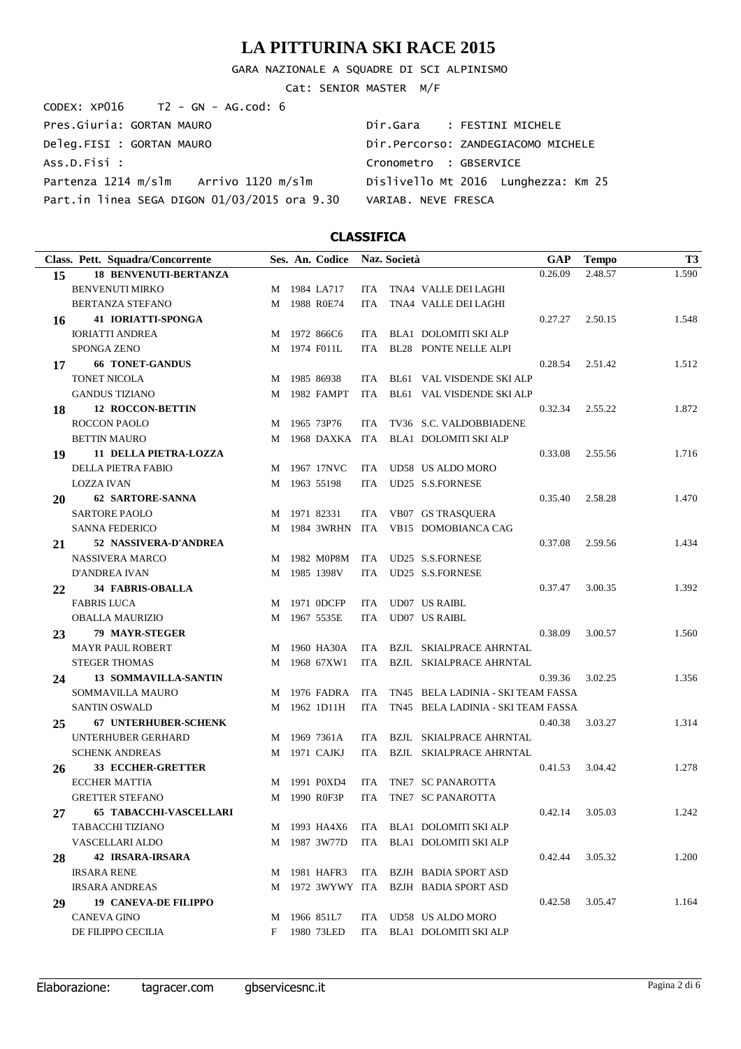GARA NAZIONALE A SQUADRE DI SCI ALPINISMO

Cat: SENIOR MASTER M/F

| CODEX: XP016 T2 - GN - AG.cod: 6             |                                     |
|----------------------------------------------|-------------------------------------|
| Pres.Giuria: GORTAN MAURO                    | Dir.Gara : FESTINI MICHELE          |
| Deleg.FISI : GORTAN MAURO                    | Dir.Percorso: ZANDEGIACOMO MICHELE  |
| ASS.D.Fisi :                                 | Cronometro : GBSERVICE              |
| Partenza 1214 m/slm Arrivo 1120 m/slm        | Dislivello Mt 2016 Lunghezza: Km 25 |
| Part.in linea SEGA DIGON 01/03/2015 ora 9.30 | VARIAB, NEVE FRESCA                 |

| 0.26.09<br>2.48.57<br><b>18 BENVENUTI-BERTANZA</b><br>15<br><b>BENVENUTI MIRKO</b><br>M 1984 LA717<br>TNA4 VALLE DEI LAGHI<br>ITA.<br>1988 R0E74<br><b>BERTANZA STEFANO</b><br>TNA4 VALLE DEI LAGHI<br><b>ITA</b><br>M<br><b>41 IORIATTI-SPONGA</b><br>0.27.27<br>2.50.15<br>16<br><b>IORIATTI ANDREA</b><br>M 1972 866C6<br>BLA1 DOLOMITI SKI ALP<br>ITA<br><b>SPONGA ZENO</b><br>1974 F011L<br><b>BL28 PONTE NELLE ALPI</b><br>ITA.<br>M<br><b>66 TONET-GANDUS</b><br>0.28.54<br>2.51.42<br>17<br><b>TONET NICOLA</b><br>1985 86938<br>BL61 VAL VISDENDE SKI ALP<br>ITA.<br>M<br>BL61 VAL VISDENDE SKI ALP<br><b>GANDUS TIZIANO</b><br>1982 FAMPT<br><b>ITA</b><br>M<br><b>12 ROCCON-BETTIN</b><br>0.32.34<br>2.55.22<br>18<br>1965 73P76<br><b>ROCCON PAOLO</b><br>TV36 S.C. VALDOBBIADENE<br>ITA.<br>M<br>BLA1 DOLOMITI SKI ALP<br><b>BETTIN MAURO</b><br>1968 DAXKA ITA<br>M<br>11 DELLA PIETRA-LOZZA<br>0.33.08<br>2.55.56<br>19<br>DELLA PIETRA FABIO<br>1967 17NVC<br>UD58 US ALDO MORO<br>ITA<br>M<br>UD25 S.S.FORNESE<br><b>LOZZA IVAN</b><br>1963 55198<br>ITA<br>M<br>62 SARTORE-SANNA<br>0.35.40<br>2.58.28<br>20<br>VB07 GS TRASQUERA<br><b>SARTORE PAOLO</b><br>1971 82331<br>ITA<br>M<br><b>SANNA FEDERICO</b><br>1984 3WRHN<br>ITA<br>VB15 DOMOBIANCA CAG<br>M<br>52 NASSIVERA-D'ANDREA<br>2.59.56<br>21<br>0.37.08<br><b>NASSIVERA MARCO</b><br>1982 M0P8M<br>UD25 S.S.FORNESE<br>ITA<br>M | T <sub>3</sub> |
|--------------------------------------------------------------------------------------------------------------------------------------------------------------------------------------------------------------------------------------------------------------------------------------------------------------------------------------------------------------------------------------------------------------------------------------------------------------------------------------------------------------------------------------------------------------------------------------------------------------------------------------------------------------------------------------------------------------------------------------------------------------------------------------------------------------------------------------------------------------------------------------------------------------------------------------------------------------------------------------------------------------------------------------------------------------------------------------------------------------------------------------------------------------------------------------------------------------------------------------------------------------------------------------------------------------------------------------------------------------------------------------------------------------|----------------|
|                                                                                                                                                                                                                                                                                                                                                                                                                                                                                                                                                                                                                                                                                                                                                                                                                                                                                                                                                                                                                                                                                                                                                                                                                                                                                                                                                                                                              | 1.590          |
|                                                                                                                                                                                                                                                                                                                                                                                                                                                                                                                                                                                                                                                                                                                                                                                                                                                                                                                                                                                                                                                                                                                                                                                                                                                                                                                                                                                                              |                |
|                                                                                                                                                                                                                                                                                                                                                                                                                                                                                                                                                                                                                                                                                                                                                                                                                                                                                                                                                                                                                                                                                                                                                                                                                                                                                                                                                                                                              |                |
|                                                                                                                                                                                                                                                                                                                                                                                                                                                                                                                                                                                                                                                                                                                                                                                                                                                                                                                                                                                                                                                                                                                                                                                                                                                                                                                                                                                                              | 1.548          |
|                                                                                                                                                                                                                                                                                                                                                                                                                                                                                                                                                                                                                                                                                                                                                                                                                                                                                                                                                                                                                                                                                                                                                                                                                                                                                                                                                                                                              |                |
|                                                                                                                                                                                                                                                                                                                                                                                                                                                                                                                                                                                                                                                                                                                                                                                                                                                                                                                                                                                                                                                                                                                                                                                                                                                                                                                                                                                                              |                |
|                                                                                                                                                                                                                                                                                                                                                                                                                                                                                                                                                                                                                                                                                                                                                                                                                                                                                                                                                                                                                                                                                                                                                                                                                                                                                                                                                                                                              | 1.512          |
|                                                                                                                                                                                                                                                                                                                                                                                                                                                                                                                                                                                                                                                                                                                                                                                                                                                                                                                                                                                                                                                                                                                                                                                                                                                                                                                                                                                                              |                |
|                                                                                                                                                                                                                                                                                                                                                                                                                                                                                                                                                                                                                                                                                                                                                                                                                                                                                                                                                                                                                                                                                                                                                                                                                                                                                                                                                                                                              |                |
|                                                                                                                                                                                                                                                                                                                                                                                                                                                                                                                                                                                                                                                                                                                                                                                                                                                                                                                                                                                                                                                                                                                                                                                                                                                                                                                                                                                                              | 1.872          |
|                                                                                                                                                                                                                                                                                                                                                                                                                                                                                                                                                                                                                                                                                                                                                                                                                                                                                                                                                                                                                                                                                                                                                                                                                                                                                                                                                                                                              |                |
|                                                                                                                                                                                                                                                                                                                                                                                                                                                                                                                                                                                                                                                                                                                                                                                                                                                                                                                                                                                                                                                                                                                                                                                                                                                                                                                                                                                                              |                |
|                                                                                                                                                                                                                                                                                                                                                                                                                                                                                                                                                                                                                                                                                                                                                                                                                                                                                                                                                                                                                                                                                                                                                                                                                                                                                                                                                                                                              | 1.716          |
|                                                                                                                                                                                                                                                                                                                                                                                                                                                                                                                                                                                                                                                                                                                                                                                                                                                                                                                                                                                                                                                                                                                                                                                                                                                                                                                                                                                                              |                |
|                                                                                                                                                                                                                                                                                                                                                                                                                                                                                                                                                                                                                                                                                                                                                                                                                                                                                                                                                                                                                                                                                                                                                                                                                                                                                                                                                                                                              |                |
|                                                                                                                                                                                                                                                                                                                                                                                                                                                                                                                                                                                                                                                                                                                                                                                                                                                                                                                                                                                                                                                                                                                                                                                                                                                                                                                                                                                                              | 1.470          |
|                                                                                                                                                                                                                                                                                                                                                                                                                                                                                                                                                                                                                                                                                                                                                                                                                                                                                                                                                                                                                                                                                                                                                                                                                                                                                                                                                                                                              |                |
|                                                                                                                                                                                                                                                                                                                                                                                                                                                                                                                                                                                                                                                                                                                                                                                                                                                                                                                                                                                                                                                                                                                                                                                                                                                                                                                                                                                                              |                |
|                                                                                                                                                                                                                                                                                                                                                                                                                                                                                                                                                                                                                                                                                                                                                                                                                                                                                                                                                                                                                                                                                                                                                                                                                                                                                                                                                                                                              | 1.434          |
|                                                                                                                                                                                                                                                                                                                                                                                                                                                                                                                                                                                                                                                                                                                                                                                                                                                                                                                                                                                                                                                                                                                                                                                                                                                                                                                                                                                                              |                |
| UD25 S.S.FORNESE<br><b>D'ANDREA IVAN</b><br>1985 1398V<br>M<br>ITA                                                                                                                                                                                                                                                                                                                                                                                                                                                                                                                                                                                                                                                                                                                                                                                                                                                                                                                                                                                                                                                                                                                                                                                                                                                                                                                                           |                |
| <b>34 FABRIS-OBALLA</b><br>0.37.47<br>3.00.35<br>22                                                                                                                                                                                                                                                                                                                                                                                                                                                                                                                                                                                                                                                                                                                                                                                                                                                                                                                                                                                                                                                                                                                                                                                                                                                                                                                                                          | 1.392          |
| UD07 US RAIBL<br><b>FABRIS LUCA</b><br>1971 0DCFP<br>ITA<br>M                                                                                                                                                                                                                                                                                                                                                                                                                                                                                                                                                                                                                                                                                                                                                                                                                                                                                                                                                                                                                                                                                                                                                                                                                                                                                                                                                |                |
| 1967 5535E<br><b>UD07 US RAIBL</b><br><b>OBALLA MAURIZIO</b><br>M<br>ITA                                                                                                                                                                                                                                                                                                                                                                                                                                                                                                                                                                                                                                                                                                                                                                                                                                                                                                                                                                                                                                                                                                                                                                                                                                                                                                                                     |                |
| 79 MAYR-STEGER<br>0.38.09<br>3.00.57<br>23                                                                                                                                                                                                                                                                                                                                                                                                                                                                                                                                                                                                                                                                                                                                                                                                                                                                                                                                                                                                                                                                                                                                                                                                                                                                                                                                                                   | 1.560          |
| <b>MAYR PAUL ROBERT</b><br>1960 HA30A<br><b>BZJL SKIALPRACE AHRNTAL</b><br>ITA.<br>M                                                                                                                                                                                                                                                                                                                                                                                                                                                                                                                                                                                                                                                                                                                                                                                                                                                                                                                                                                                                                                                                                                                                                                                                                                                                                                                         |                |
| <b>STEGER THOMAS</b><br>1968 67XW1<br>BZJL SKIALPRACE AHRNTAL<br>ITA<br>M                                                                                                                                                                                                                                                                                                                                                                                                                                                                                                                                                                                                                                                                                                                                                                                                                                                                                                                                                                                                                                                                                                                                                                                                                                                                                                                                    |                |
| <b>13 SOMMAVILLA-SANTIN</b><br>0.39.36<br>3.02.25<br>24                                                                                                                                                                                                                                                                                                                                                                                                                                                                                                                                                                                                                                                                                                                                                                                                                                                                                                                                                                                                                                                                                                                                                                                                                                                                                                                                                      | 1.356          |
| SOMMAVILLA MAURO<br>1976 FADRA<br><b>ITA</b><br>TN45 BELA LADINIA - SKI TEAM FASSA<br>M                                                                                                                                                                                                                                                                                                                                                                                                                                                                                                                                                                                                                                                                                                                                                                                                                                                                                                                                                                                                                                                                                                                                                                                                                                                                                                                      |                |
| <b>SANTIN OSWALD</b><br>1962 1D11H<br><b>ITA</b><br>TN45 BELA LADINIA - SKI TEAM FASSA<br>M                                                                                                                                                                                                                                                                                                                                                                                                                                                                                                                                                                                                                                                                                                                                                                                                                                                                                                                                                                                                                                                                                                                                                                                                                                                                                                                  |                |
| 67 UNTERHUBER-SCHENK<br>0.40.38<br>3.03.27<br>25                                                                                                                                                                                                                                                                                                                                                                                                                                                                                                                                                                                                                                                                                                                                                                                                                                                                                                                                                                                                                                                                                                                                                                                                                                                                                                                                                             | 1.314          |
| UNTERHUBER GERHARD<br>1969 7361A<br><b>BZJL SKIALPRACE AHRNTAL</b><br>ITA.<br>M                                                                                                                                                                                                                                                                                                                                                                                                                                                                                                                                                                                                                                                                                                                                                                                                                                                                                                                                                                                                                                                                                                                                                                                                                                                                                                                              |                |
| <b>SCHENK ANDREAS</b><br>1971 CAJKJ<br><b>ITA</b><br><b>BZJL SKIALPRACE AHRNTAL</b><br>M                                                                                                                                                                                                                                                                                                                                                                                                                                                                                                                                                                                                                                                                                                                                                                                                                                                                                                                                                                                                                                                                                                                                                                                                                                                                                                                     |                |
| <b>33 ECCHER-GRETTER</b><br>0.41.53<br>3.04.42<br>26                                                                                                                                                                                                                                                                                                                                                                                                                                                                                                                                                                                                                                                                                                                                                                                                                                                                                                                                                                                                                                                                                                                                                                                                                                                                                                                                                         | 1.278          |
| <b>ECCHER MATTIA</b><br>1991 P0XD4<br>TNE7 SC PANAROTTA<br><b>ITA</b><br>M                                                                                                                                                                                                                                                                                                                                                                                                                                                                                                                                                                                                                                                                                                                                                                                                                                                                                                                                                                                                                                                                                                                                                                                                                                                                                                                                   |                |
| <b>GRETTER STEFANO</b><br>1990 R0F3P<br><b>ITA</b><br>TNE7 SC PANAROTTA<br>M                                                                                                                                                                                                                                                                                                                                                                                                                                                                                                                                                                                                                                                                                                                                                                                                                                                                                                                                                                                                                                                                                                                                                                                                                                                                                                                                 |                |
| <b>65 TABACCHI-VASCELLARI</b><br>0.42.14<br>3.05.03<br>27                                                                                                                                                                                                                                                                                                                                                                                                                                                                                                                                                                                                                                                                                                                                                                                                                                                                                                                                                                                                                                                                                                                                                                                                                                                                                                                                                    | 1.242          |
| TABACCHI TIZIANO<br>M 1993 HA4X6<br>ITA BLA1 DOLOMITI SKI ALP                                                                                                                                                                                                                                                                                                                                                                                                                                                                                                                                                                                                                                                                                                                                                                                                                                                                                                                                                                                                                                                                                                                                                                                                                                                                                                                                                |                |
| VASCELLARI ALDO<br>M 1987 3W77D<br>ITA BLA1 DOLOMITI SKI ALP                                                                                                                                                                                                                                                                                                                                                                                                                                                                                                                                                                                                                                                                                                                                                                                                                                                                                                                                                                                                                                                                                                                                                                                                                                                                                                                                                 |                |
| <b>42 IRSARA-IRSARA</b><br>0.42.44<br>3.05.32<br>28                                                                                                                                                                                                                                                                                                                                                                                                                                                                                                                                                                                                                                                                                                                                                                                                                                                                                                                                                                                                                                                                                                                                                                                                                                                                                                                                                          | 1.200          |
| <b>IRSARA RENE</b><br>M 1981 HAFR3<br>BZJH BADIA SPORT ASD<br>ITA                                                                                                                                                                                                                                                                                                                                                                                                                                                                                                                                                                                                                                                                                                                                                                                                                                                                                                                                                                                                                                                                                                                                                                                                                                                                                                                                            |                |
| <b>IRSARA ANDREAS</b><br>M 1972 3WYWY ITA BZJH BADIA SPORTASD                                                                                                                                                                                                                                                                                                                                                                                                                                                                                                                                                                                                                                                                                                                                                                                                                                                                                                                                                                                                                                                                                                                                                                                                                                                                                                                                                |                |
| <b>19 CANEVA-DE FILIPPO</b><br>0.42.58<br>3.05.47<br>29                                                                                                                                                                                                                                                                                                                                                                                                                                                                                                                                                                                                                                                                                                                                                                                                                                                                                                                                                                                                                                                                                                                                                                                                                                                                                                                                                      | 1.164          |
| <b>CANEVA GINO</b><br>M 1966 851L7<br>UD58 US ALDO MORO<br>ITA                                                                                                                                                                                                                                                                                                                                                                                                                                                                                                                                                                                                                                                                                                                                                                                                                                                                                                                                                                                                                                                                                                                                                                                                                                                                                                                                               |                |
| DE FILIPPO CECILIA<br>1980 73LED<br>ITA BLA1 DOLOMITI SKI ALP<br>F                                                                                                                                                                                                                                                                                                                                                                                                                                                                                                                                                                                                                                                                                                                                                                                                                                                                                                                                                                                                                                                                                                                                                                                                                                                                                                                                           |                |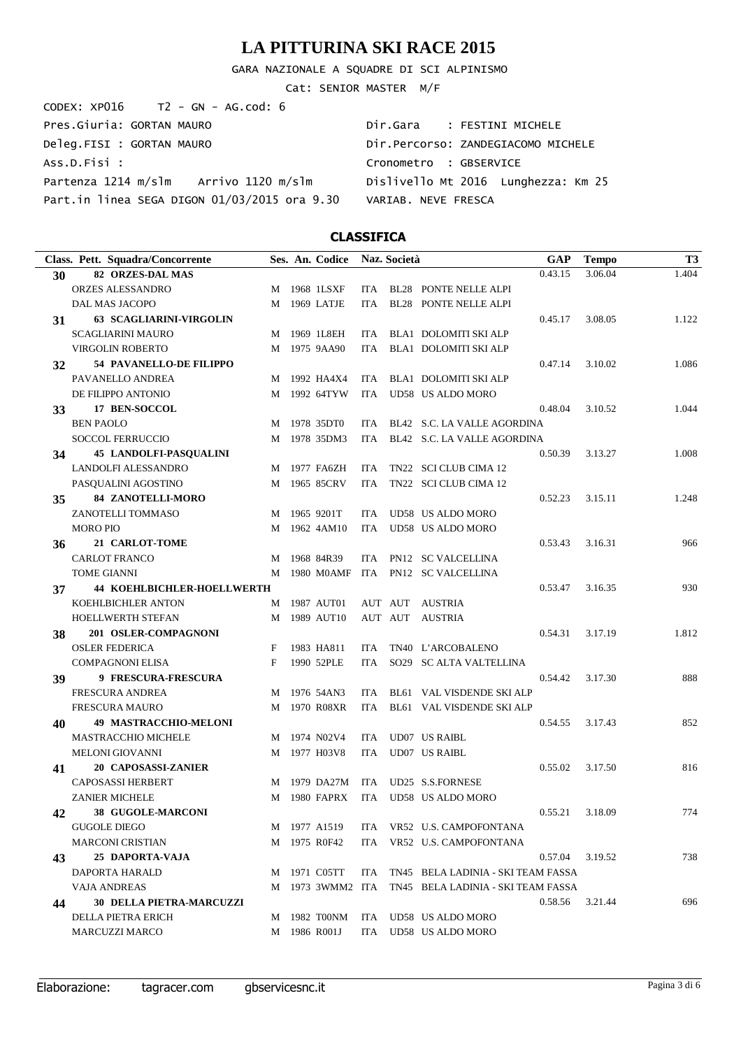GARA NAZIONALE A SQUADRE DI SCI ALPINISMO

Cat: SENIOR MASTER M/F

| CODEX: XP016 T2 - GN - AG.cod: 6             |                                     |
|----------------------------------------------|-------------------------------------|
| Pres.Giuria: GORTAN MAURO                    | Dir.Gara : FESTINI MICHELE          |
| Deleg.FISI : GORTAN MAURO                    | Dir.Percorso: ZANDEGIACOMO MICHELE  |
| Ass.D.Fisi :                                 | Cronometro : GBSERVICE              |
| Partenza 1214 m/slm Arrivo 1120 m/slm        | Dislivello Mt 2016 Lunghezza: Km 25 |
| Part.in linea SEGA DIGON 01/03/2015 ora 9.30 | VARIAB, NEVE FRESCA                 |

|    | Class. Pett. Squadra/Concorrente  |   | Ses. An. Codice |            | Naz. Società |                                                     | GAP     | <b>Tempo</b> | T <sub>3</sub> |
|----|-----------------------------------|---|-----------------|------------|--------------|-----------------------------------------------------|---------|--------------|----------------|
| 30 | <b>82 ORZES-DAL MAS</b>           |   |                 |            |              |                                                     | 0.43.15 | 3.06.04      | 1.404          |
|    | <b>ORZES ALESSANDRO</b>           |   | M 1968 1LSXF    |            |              | ITA BL28 PONTE NELLE ALPI                           |         |              |                |
|    | DAL MAS JACOPO                    | М | 1969 LATJE      | ITA        |              | <b>BL28 PONTE NELLE ALPI</b>                        |         |              |                |
| 31 | <b>63 SCAGLIARINI-VIRGOLIN</b>    |   |                 |            |              |                                                     | 0.45.17 | 3.08.05      | 1.122          |
|    | <b>SCAGLIARINI MAURO</b>          |   | M 1969 1L8EH    | ITA        |              | BLA1 DOLOMITI SKI ALP                               |         |              |                |
|    | <b>VIRGOLIN ROBERTO</b>           |   | M 1975 9AA90    | ITA.       |              | <b>BLA1 DOLOMITI SKI ALP</b>                        |         |              |                |
| 32 | 54 PAVANELLO-DE FILIPPO           |   |                 |            |              |                                                     | 0.47.14 | 3.10.02      | 1.086          |
|    | PAVANELLO ANDREA                  |   | M 1992 HA4X4    | ITA        |              | BLA1 DOLOMITI SKI ALP                               |         |              |                |
|    | DE FILIPPO ANTONIO                |   | M 1992 64TYW    | <b>ITA</b> |              | UD58 US ALDO MORO                                   |         |              |                |
| 33 | 17 BEN-SOCCOL                     |   |                 |            |              |                                                     | 0.48.04 | 3.10.52      | 1.044          |
|    | <b>BEN PAOLO</b>                  | М | 1978 35DT0      | ITA        |              | BL42 S.C. LA VALLE AGORDINA                         |         |              |                |
|    | <b>SOCCOL FERRUCCIO</b>           | М | 1978 35DM3      | <b>ITA</b> |              | BL42 S.C. LA VALLE AGORDINA                         |         |              |                |
| 34 | <b>45 LANDOLFI-PASQUALINI</b>     |   |                 |            |              |                                                     | 0.50.39 | 3.13.27      | 1.008          |
|    | <b>LANDOLFI ALESSANDRO</b>        |   | M 1977 FA6ZH    | ITA.       |              | TN22 SCI CLUB CIMA 12                               |         |              |                |
|    | PASQUALINI AGOSTINO               | М | 1965 85CRV      | <b>ITA</b> |              | TN22 SCI CLUB CIMA 12                               |         |              |                |
| 35 | 84 ZANOTELLI-MORO                 |   |                 |            |              |                                                     | 0.52.23 | 3.15.11      | 1.248          |
|    | ZANOTELLI TOMMASO                 | M | 1965 9201T      | ITA        |              | UD58 US ALDO MORO                                   |         |              |                |
|    | <b>MORO PIO</b>                   | М | 1962 4AM10      | <b>ITA</b> |              | UD58 US ALDO MORO                                   |         |              |                |
| 36 | 21 CARLOT-TOME                    |   |                 |            |              |                                                     | 0.53.43 | 3.16.31      | 966            |
|    | <b>CARLOT FRANCO</b>              | М | 1968 84R39      |            |              | ITA PN12 SC VALCELLINA                              |         |              |                |
|    | <b>TOME GIANNI</b>                | М | 1980 M0AMF      | ITA        |              | PN12 SC VALCELLINA                                  |         |              |                |
| 37 | <b>44 KOEHLBICHLER-HOELLWERTH</b> |   |                 |            |              |                                                     | 0.53.47 | 3.16.35      | 930            |
|    | KOEHLBICHLER ANTON                |   | M 1987 AUT01    |            |              | AUT AUT AUSTRIA                                     |         |              |                |
|    | HOELLWERTH STEFAN                 | M | 1989 AUT10      |            | AUT AUT      | AUSTRIA                                             |         |              |                |
| 38 | 201 OSLER-COMPAGNONI              |   |                 |            |              |                                                     | 0.54.31 | 3.17.19      | 1.812          |
|    | <b>OSLER FEDERICA</b>             | F | 1983 HA811      | ITA        |              | TN40 L'ARCOBALENO                                   |         |              |                |
|    | <b>COMPAGNONI ELISA</b>           | F | 1990 52PLE      | <b>ITA</b> |              | SO29 SC ALTA VALTELLINA                             |         |              |                |
| 39 | 9 FRESCURA-FRESCURA               |   |                 |            |              |                                                     | 0.54.42 | 3.17.30      | 888            |
|    | <b>FRESCURA ANDREA</b>            |   | M 1976 54AN3    | ITA        |              | BL61 VAL VISDENDE SKI ALP                           |         |              |                |
|    | <b>FRESCURA MAURO</b>             | М | 1970 R08XR      | <b>ITA</b> |              | BL61 VAL VISDENDE SKI ALP                           |         |              |                |
| 40 | 49 MASTRACCHIO-MELONI             |   |                 |            |              |                                                     | 0.54.55 | 3.17.43      | 852            |
|    | <b>MASTRACCHIO MICHELE</b>        |   | M 1974 N02V4    | ITA.       |              | <b>UD07 US RAIBL</b>                                |         |              |                |
|    | MELONI GIOVANNI                   | М | 1977 H03V8      | <b>ITA</b> |              | <b>UD07 US RAIBL</b>                                |         |              |                |
| 41 | 20 CAPOSASSI-ZANIER               |   |                 |            |              |                                                     | 0.55.02 | 3.17.50      | 816            |
|    | <b>CAPOSASSI HERBERT</b>          |   | M 1979 DA27M    | ITA        |              | UD25 S.S.FORNESE                                    |         |              |                |
|    | <b>ZANIER MICHELE</b>             |   | M 1980 FAPRX    | ITA        |              | UD58 US ALDO MORO                                   |         |              |                |
| 42 | <b>38 GUGOLE-MARCONI</b>          |   |                 |            |              |                                                     | 0.55.21 | 3.18.09      | 774            |
|    | <b>GUGOLE DIEGO</b>               |   | M 1977 A1519    |            |              | ITA VR52 U.S. CAMPOFONTANA                          |         |              |                |
|    | <b>MARCONI CRISTIAN</b>           |   | M 1975 R0F42    | ITA        |              | VR52 U.S. CAMPOFONTANA                              |         |              |                |
| 43 | 25 DAPORTA-VAJA                   |   |                 |            |              |                                                     | 0.57.04 | 3.19.52      | 738            |
|    | DAPORTA HARALD                    |   | M 1971 C05TT    | ITA        |              | TN45 BELA LADINIA - SKI TEAM FASSA                  |         |              |                |
|    | <b>VAJA ANDREAS</b>               |   |                 |            |              | M 1973 3WMM2 ITA TN45 BELA LADINIA - SKI TEAM FASSA |         |              |                |
|    | <b>30 DELLA PIETRA-MARCUZZI</b>   |   |                 |            |              |                                                     | 0.58.56 | 3.21.44      | 696            |
| 44 | DELLA PIETRA ERICH                |   | M 1982 T00NM    | ITA        |              | UD58 US ALDO MORO                                   |         |              |                |
|    | <b>MARCUZZI MARCO</b>             |   | M 1986 R001J    | ITA        |              | UD58 US ALDO MORO                                   |         |              |                |
|    |                                   |   |                 |            |              |                                                     |         |              |                |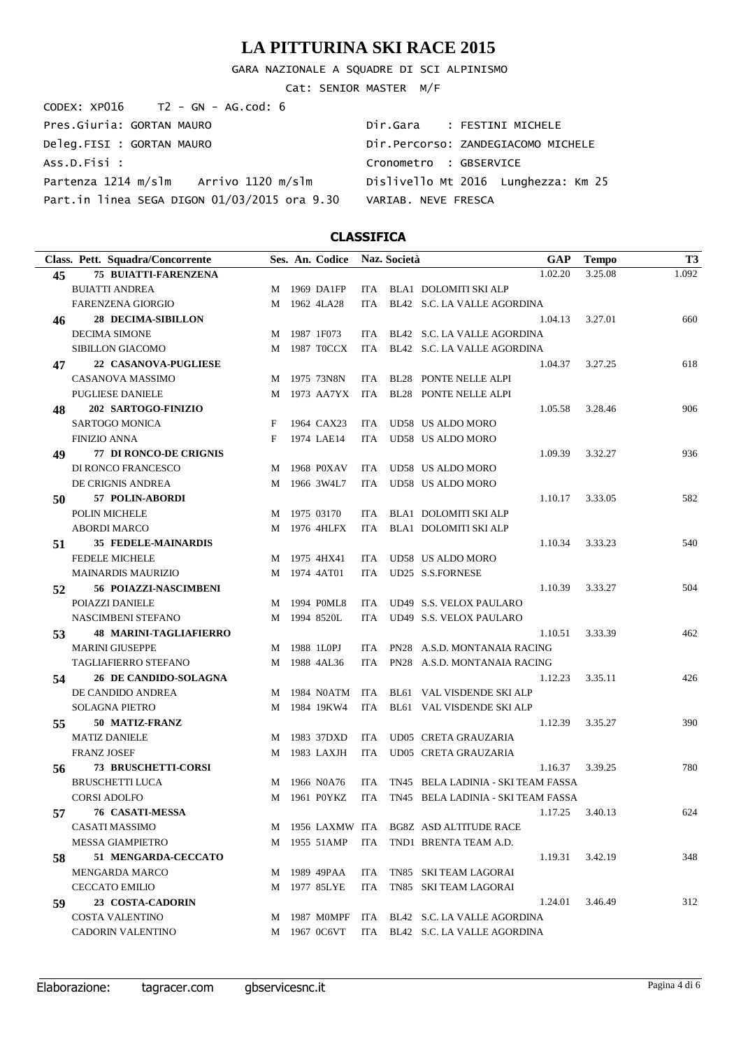GARA NAZIONALE A SQUADRE DI SCI ALPINISMO

Cat: SENIOR MASTER M/F

| CODEX: XP016 T2 - GN - AG.cod: 6             |                                     |
|----------------------------------------------|-------------------------------------|
| Pres.Giuria: GORTAN MAURO                    | Dir.Gara : FESTINI MICHELE          |
| Deleg.FISI : GORTAN MAURO                    | Dir.Percorso: ZANDEGIACOMO MICHELE  |
| ASS.D.Fisi :                                 | Cronometro : GBSERVICE              |
| Partenza 1214 m/slm Arrivo 1120 m/slm        | Dislivello Mt 2016 Lunghezza: Km 25 |
| Part.in linea SEGA DIGON 01/03/2015 ora 9.30 | VARIAB, NEVE FRESCA                 |

|    | Class. Pett. Squadra/Concorrente |   | Ses. An. Codice |            | Naz. Società | <b>GAP</b>                              | <b>Tempo</b>    | T <sub>3</sub> |
|----|----------------------------------|---|-----------------|------------|--------------|-----------------------------------------|-----------------|----------------|
| 45 | <b>75 BUIATTI-FARENZENA</b>      |   |                 |            |              | 1.02.20                                 | 3.25.08         | 1.092          |
|    | <b>BUIATTI ANDREA</b>            |   | M 1969 DA1FP    |            |              | ITA BLA1 DOLOMITI SKI ALP               |                 |                |
|    | <b>FARENZENA GIORGIO</b>         |   | M 1962 4LA28    | <b>ITA</b> |              | BL42 S.C. LA VALLE AGORDINA             |                 |                |
| 46 | <b>28 DECIMA-SIBILLON</b>        |   |                 |            |              | 1.04.13                                 | 3.27.01         | 660            |
|    | <b>DECIMA SIMONE</b>             |   | M 1987 1F073    |            |              | ITA BL42 S.C. LA VALLE AGORDINA         |                 |                |
|    | SIBILLON GIACOMO                 |   | M 1987 TOCCX    |            |              | ITA BL42 S.C. LA VALLE AGORDINA         |                 |                |
| 47 | <b>22 CASANOVA-PUGLIESE</b>      |   |                 |            |              | 1.04.37                                 | 3.27.25         | 618            |
|    | CASANOVA MASSIMO                 |   | M 1975 73N8N    | <b>ITA</b> |              | BL28 PONTE NELLE ALPI                   |                 |                |
|    | <b>PUGLIESE DANIELE</b>          |   | M 1973 AA7YX    | ITA        |              | <b>BL28 PONTE NELLE ALPI</b>            |                 |                |
| 48 | 202 SARTOGO-FINIZIO              |   |                 |            |              | 1.05.58                                 | 3.28.46         | 906            |
|    | <b>SARTOGO MONICA</b>            | F | 1964 CAX23      | ITA        |              | UD58 US ALDO MORO                       |                 |                |
|    | <b>FINIZIO ANNA</b>              | F | 1974 LAE14      | <b>ITA</b> |              | UD58 US ALDO MORO                       |                 |                |
| 49 | <b>77 DI RONCO-DE CRIGNIS</b>    |   |                 |            |              | 1.09.39                                 | 3.32.27         | 936            |
|    | DI RONCO FRANCESCO               | M | 1968 P0XAV      | ITA        |              | UD58 US ALDO MORO                       |                 |                |
|    | DE CRIGNIS ANDREA                | M | 1966 3W4L7      | <b>ITA</b> |              | UD58 US ALDO MORO                       |                 |                |
| 50 | 57 POLIN-ABORDI                  |   |                 |            |              | 1.10.17                                 | 3.33.05         | 582            |
|    | POLIN MICHELE                    |   | M 1975 03170    | ITA.       |              | BLA1 DOLOMITI SKI ALP                   |                 |                |
|    | <b>ABORDI MARCO</b>              |   | M 1976 4HLFX    | ITA        |              | BLA1 DOLOMITI SKI ALP                   |                 |                |
| 51 | <b>35 FEDELE-MAINARDIS</b>       |   |                 |            |              | 1.10.34                                 | 3.33.23         | 540            |
|    | <b>FEDELE MICHELE</b>            |   | M 1975 4HX41    | <b>ITA</b> |              | UD58 US ALDO MORO                       |                 |                |
|    | <b>MAINARDIS MAURIZIO</b>        |   | M 1974 4AT01    | <b>ITA</b> |              | UD25 S.S.FORNESE                        |                 |                |
| 52 | 56 POIAZZI-NASCIMBENI            |   |                 |            |              | 1.10.39                                 | 3.33.27         | 504            |
|    | POIAZZI DANIELE                  | M | 1994 POML8      | <b>ITA</b> |              | UD49 S.S. VELOX PAULARO                 |                 |                |
|    | NASCIMBENI STEFANO               |   | M 1994 8520L    | <b>ITA</b> |              | UD49 S.S. VELOX PAULARO                 |                 |                |
| 53 | <b>48 MARINI-TAGLIAFIERRO</b>    |   |                 |            |              | 1.10.51                                 | 3.33.39         | 462            |
|    | <b>MARINI GIUSEPPE</b>           | M | 1988 1L0PJ      | <b>ITA</b> |              | PN28 A.S.D. MONTANAIA RACING            |                 |                |
|    | <b>TAGLIAFIERRO STEFANO</b>      |   | M 1988 4AL36    | <b>ITA</b> |              | PN28 A.S.D. MONTANAIA RACING            |                 |                |
| 54 | 26 DE CANDIDO-SOLAGNA            |   |                 |            |              | 1.12.23                                 | 3.35.11         | 426            |
|    | DE CANDIDO ANDREA                | M | 1984 N0ATM      | ITA        |              | BL61 VAL VISDENDE SKI ALP               |                 |                |
|    | <b>SOLAGNA PIETRO</b>            |   | M 1984 19KW4    | <b>ITA</b> |              | BL61 VAL VISDENDE SKI ALP               |                 |                |
| 55 | 50 MATIZ-FRANZ                   |   |                 |            |              | 1.12.39                                 | 3.35.27         | 390            |
|    | <b>MATIZ DANIELE</b>             | M | 1983 37DXD      | <b>ITA</b> |              | UD05 CRETA GRAUZARIA                    |                 |                |
|    | <b>FRANZ JOSEF</b>               |   | M 1983 LAXJH    | <b>ITA</b> |              | UD05 CRETA GRAUZARIA                    |                 |                |
| 56 | <b>73 BRUSCHETTI-CORSI</b>       |   |                 |            |              | 1.16.37                                 | 3.39.25         | 780            |
|    | <b>BRUSCHETTI LUCA</b>           | M | 1966 N0A76      | <b>ITA</b> |              | TN45 BELA LADINIA - SKI TEAM FASSA      |                 |                |
|    | <b>CORSI ADOLFO</b>              |   | M 1961 P0YKZ    | ITA        |              | TN45 BELA LADINIA - SKI TEAM FASSA      |                 |                |
| 57 | 76 CASATI-MESSA                  |   |                 |            |              |                                         | 1.17.25 3.40.13 | 624            |
|    | CASATI MASSIMO                   |   |                 |            |              | M 1956 LAXMW ITA BG8Z ASD ALTITUDE RACE |                 |                |
|    | <b>MESSA GIAMPIETRO</b>          |   | M 1955 51AMP    | ITA        |              | TND1 BRENTA TEAM A.D.                   |                 |                |
| 58 | 51 MENGARDA-CECCATO              |   |                 |            |              | 1.19.31                                 | 3.42.19         | 348            |
|    | <b>MENGARDA MARCO</b>            |   | M 1989 49PAA    | ITA.       |              | TN85 SKI TEAM LAGORAI                   |                 |                |
|    | <b>CECCATO EMILIO</b>            |   | M 1977 85LYE    | ITA        |              | TN85 SKI TEAM LAGORAI                   |                 |                |
| 59 | 23 COSTA-CADORIN                 |   |                 |            |              | 1.24.01                                 | 3.46.49         | 312            |
|    | COSTA VALENTINO                  |   | M 1987 M0MPF    |            |              | ITA BL42 S.C. LA VALLE AGORDINA         |                 |                |
|    | <b>CADORIN VALENTINO</b>         |   | M 1967 0C6VT    |            |              | ITA BL42 S.C. LA VALLE AGORDINA         |                 |                |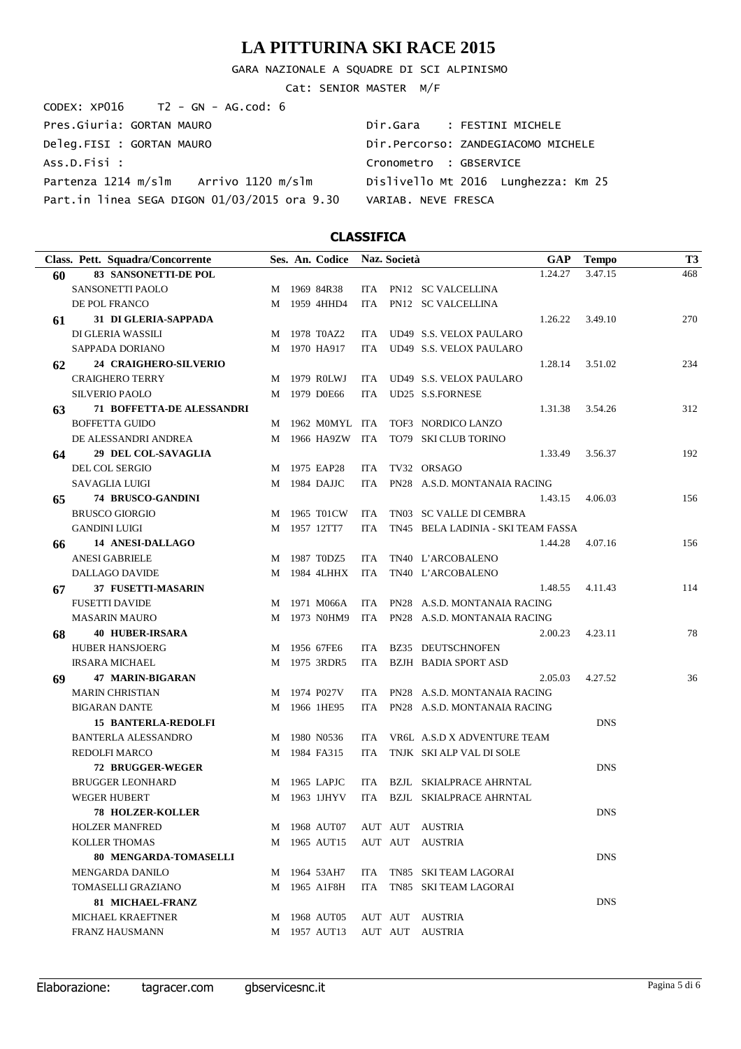GARA NAZIONALE A SQUADRE DI SCI ALPINISMO

Cat: SENIOR MASTER M/F

| CODEX: $XP016$ T2 - GN - AG.cod: 6           |                                     |
|----------------------------------------------|-------------------------------------|
| Pres.Giuria: GORTAN MAURO                    | Dir.Gara : FESTINI MICHELE          |
| Deleg.FISI : GORTAN MAURO                    | Dir.Percorso: ZANDEGIACOMO MICHELE  |
| Ass.D.Fisi :                                 | Cronometro : GBSERVICE              |
| Partenza 1214 m/slm Arrivo 1120 m/slm        | Dislivello Mt 2016 Lunghezza: Km 25 |
| Part.in linea SEGA DIGON 01/03/2015 ora 9.30 | VARIAB, NEVE FRESCA                 |

|    | Class. Pett. Squadra/Concorrente |   | Ses. An. Codice |            | Naz. Società |                                    | GAP     | <b>Tempo</b> | T3  |
|----|----------------------------------|---|-----------------|------------|--------------|------------------------------------|---------|--------------|-----|
| 60 | 83 SANSONETTI-DE POL             |   |                 |            |              |                                    | 1.24.27 | 3.47.15      | 468 |
|    | SANSONETTI PAOLO                 | M | 1969 84R38      |            |              | ITA PN12 SC VALCELLINA             |         |              |     |
|    | DE POL FRANCO                    | M | 1959 4HHD4      | ITA        |              | PN12 SC VALCELLINA                 |         |              |     |
| 61 | 31 DI GLERIA-SAPPADA             |   |                 |            |              |                                    | 1.26.22 | 3.49.10      | 270 |
|    | DI GLERIA WASSILI                | M | 1978 T0AZ2      |            |              | ITA UD49 S.S. VELOX PAULARO        |         |              |     |
|    | SAPPADA DORIANO                  | M | 1970 HA917      | ITA        |              | UD49 S.S. VELOX PAULARO            |         |              |     |
| 62 | 24 CRAIGHERO-SILVERIO            |   |                 |            |              |                                    | 1.28.14 | 3.51.02      | 234 |
|    | <b>CRAIGHERO TERRY</b>           | M | 1979 ROLWJ      |            |              | ITA UD49 S.S. VELOX PAULARO        |         |              |     |
|    | <b>SILVERIO PAOLO</b>            | M | 1979 D0E66      | ITA        |              | UD25 S.S.FORNESE                   |         |              |     |
| 63 | <b>71 BOFFETTA-DE ALESSANDRI</b> |   |                 |            |              |                                    | 1.31.38 | 3.54.26      | 312 |
|    | <b>BOFFETTA GUIDO</b>            | M | 1962 MOMYL ITA  |            |              | TOF3 NORDICO LANZO                 |         |              |     |
|    | DE ALESSANDRI ANDREA             | M | 1966 HA9ZW      | ITA        |              | TO79 SKI CLUB TORINO               |         |              |     |
| 64 | 29 DEL COL-SAVAGLIA              |   |                 |            |              |                                    | 1.33.49 | 3.56.37      | 192 |
|    | DEL COL SERGIO                   | M | 1975 EAP28      | ITA.       |              | TV32 ORSAGO                        |         |              |     |
|    | <b>SAVAGLIA LUIGI</b>            | M | 1984 DAJJC      | ITA        |              | PN28 A.S.D. MONTANAIA RACING       |         |              |     |
| 65 | <b>74 BRUSCO-GANDINI</b>         |   |                 |            |              |                                    | 1.43.15 | 4.06.03      | 156 |
|    | <b>BRUSCO GIORGIO</b>            | M | 1965 T01CW      | <b>ITA</b> |              | TN03 SC VALLE DI CEMBRA            |         |              |     |
|    | <b>GANDINI LUIGI</b>             | M | 1957 12TT7      | <b>ITA</b> |              | TN45 BELA LADINIA - SKI TEAM FASSA |         |              |     |
| 66 | <b>14 ANESI-DALLAGO</b>          |   |                 |            |              |                                    | 1.44.28 | 4.07.16      | 156 |
|    | <b>ANESI GABRIELE</b>            | M | 1987 T0DZ5      | <b>ITA</b> |              | TN40 L'ARCOBALENO                  |         |              |     |
|    | DALLAGO DAVIDE                   | M | 1984 4LHHX      | ITA        |              | TN40 L'ARCOBALENO                  |         |              |     |
| 67 | 37 FUSETTI-MASARIN               |   |                 |            |              |                                    | 1.48.55 | 4.11.43      | 114 |
|    | <b>FUSETTI DAVIDE</b>            | M | 1971 M066A      | ITA        |              | PN28 A.S.D. MONTANAIA RACING       |         |              |     |
|    | <b>MASARIN MAURO</b>             | M | 1973 N0HM9      | ITA        |              | PN28 A.S.D. MONTANAIA RACING       |         |              |     |
| 68 | <b>40 HUBER-IRSARA</b>           |   |                 |            |              |                                    | 2.00.23 | 4.23.11      | 78  |
|    | <b>HUBER HANSJOERG</b>           | M | 1956 67FE6      | ITA.       |              | BZ35 DEUTSCHNOFEN                  |         |              |     |
|    | <b>IRSARA MICHAEL</b>            | M | 1975 3RDR5      | ITA        |              | <b>BZJH BADIA SPORT ASD</b>        |         |              |     |
| 69 | <b>47 MARIN-BIGARAN</b>          |   |                 |            |              |                                    | 2.05.03 | 4.27.52      | 36  |
|    | <b>MARIN CHRISTIAN</b>           | M | 1974 P027V      | ITA.       |              | PN28 A.S.D. MONTANAIA RACING       |         |              |     |
|    | <b>BIGARAN DANTE</b>             | M | 1966 1HE95      | ITA        |              | PN28 A.S.D. MONTANAIA RACING       |         |              |     |
|    | <b>15 BANTERLA-REDOLFI</b>       |   |                 |            |              |                                    |         | <b>DNS</b>   |     |
|    | <b>BANTERLA ALESSANDRO</b>       | M | 1980 N0536      | ITA.       |              | VR6L A.S.D X ADVENTURE TEAM        |         |              |     |
|    | <b>REDOLFI MARCO</b>             | M | 1984 FA315      | ITA        |              | TNJK SKI ALP VAL DI SOLE           |         |              |     |
|    | 72 BRUGGER-WEGER                 |   |                 |            |              |                                    |         | <b>DNS</b>   |     |
|    | <b>BRUGGER LEONHARD</b>          | M | 1965 LAPJC      | ITA.       |              | <b>BZJL SKIALPRACE AHRNTAL</b>     |         |              |     |
|    | <b>WEGER HUBERT</b>              | M | 1963 1JHYV      |            |              | ITA BZJL SKIALPRACE AHRNTAL        |         |              |     |
|    | 78 HOLZER-KOLLER                 |   |                 |            |              |                                    |         | DNS          |     |
|    | <b>HOLZER MANFRED</b>            | M | 1968 AUT07      |            |              | AUT AUT AUSTRIA                    |         |              |     |
|    | <b>KOLLER THOMAS</b>             | M | 1965 AUT15      |            | AUT AUT      | AUSTRIA                            |         |              |     |
|    | <b>80 MENGARDA-TOMASELLI</b>     |   |                 |            |              |                                    |         | <b>DNS</b>   |     |
|    | MENGARDA DANILO                  | M | 1964 53AH7      | ITA        |              | TN85 SKI TEAM LAGORAI              |         |              |     |
|    | <b>TOMASELLI GRAZIANO</b>        | М | 1965 A1F8H      | ITA        |              | TN85 SKI TEAM LAGORAI              |         |              |     |
|    | <b>81 MICHAEL-FRANZ</b>          |   |                 |            |              |                                    |         | <b>DNS</b>   |     |
|    | <b>MICHAEL KRAEFTNER</b>         | M | 1968 AUT05      |            | AUT AUT      | AUSTRIA                            |         |              |     |
|    | <b>FRANZ HAUSMANN</b>            | M | 1957 AUT13      |            | AUT AUT      | <b>AUSTRIA</b>                     |         |              |     |
|    |                                  |   |                 |            |              |                                    |         |              |     |